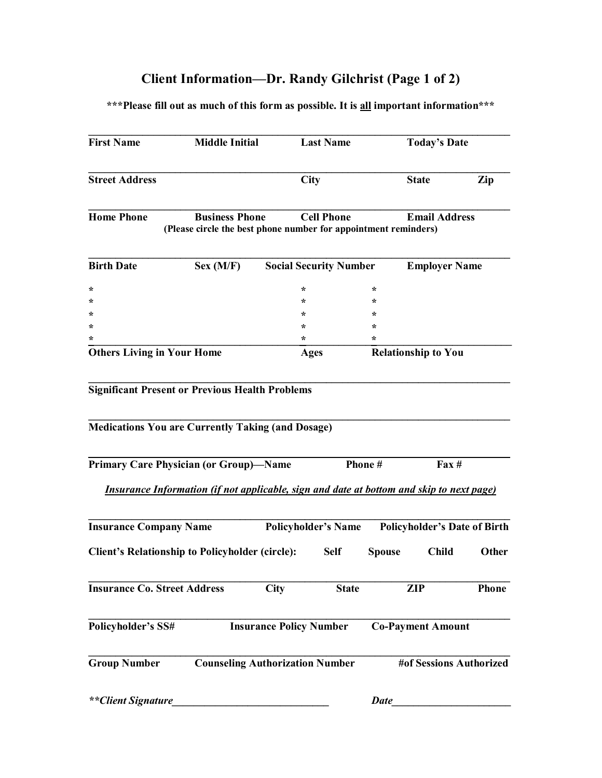# **Client Information-Dr. Randy Gilchrist (Page 1 of 2)**

**\*\*\*Please fill out as much of this form as possible. It is all important information\*\*\*** 

|                                                                                                               | <b>Middle Initial</b>                                                                           |                                | <b>Last Name</b>  |               | <b>Today's Date</b>                 |                              |
|---------------------------------------------------------------------------------------------------------------|-------------------------------------------------------------------------------------------------|--------------------------------|-------------------|---------------|-------------------------------------|------------------------------|
| <b>Street Address</b>                                                                                         |                                                                                                 | <b>City</b>                    |                   |               | <b>State</b>                        | Zip                          |
| <b>Home Phone</b><br><b>Business Phone</b><br>(Please circle the best phone number for appointment reminders) |                                                                                                 |                                | <b>Cell Phone</b> |               | <b>Email Address</b>                |                              |
| <b>Birth Date</b>                                                                                             | Sex (M/F)                                                                                       | <b>Social Security Number</b>  |                   |               | <b>Employer Name</b>                |                              |
| $\ast$                                                                                                        |                                                                                                 | $\star$                        |                   | $\ast$        |                                     |                              |
| $^\star$                                                                                                      |                                                                                                 | $\ast$                         |                   | $\ast$        |                                     |                              |
| $^\star$                                                                                                      |                                                                                                 | ÷                              |                   | ÷             |                                     |                              |
| $\ast$                                                                                                        |                                                                                                 | $\ast$                         |                   | $\ast$        |                                     |                              |
| $\ast$                                                                                                        |                                                                                                 | ÷                              |                   | *             |                                     |                              |
| <b>Others Living in Your Home</b>                                                                             |                                                                                                 | <b>Ages</b>                    |                   |               | <b>Relationship to You</b>          |                              |
| <b>Primary Care Physician (or Group)-Name</b>                                                                 |                                                                                                 |                                |                   |               |                                     |                              |
|                                                                                                               |                                                                                                 |                                |                   | Phone#        | $\text{Fax} \#$                     |                              |
|                                                                                                               | <i>Insurance Information (if not applicable, sign and date at bottom and skip to next page)</i> |                                |                   |               |                                     |                              |
| <b>Insurance Company Name</b>                                                                                 |                                                                                                 | <b>Policyholder's Name</b>     |                   |               | <b>Policyholder's Date of Birth</b> |                              |
|                                                                                                               | <b>Client's Relationship to Policyholder (circle):</b>                                          |                                | <b>Self</b>       | <b>Spouse</b> | <b>Child</b>                        |                              |
|                                                                                                               |                                                                                                 | <b>City</b>                    | <b>State</b>      |               | <b>ZIP</b>                          |                              |
|                                                                                                               |                                                                                                 | <b>Insurance Policy Number</b> |                   |               | <b>Co-Payment Amount</b>            |                              |
| <b>Insurance Co. Street Address</b><br>Policyholder's SS#<br><b>Group Number</b>                              | <b>Counseling Authorization Number</b>                                                          |                                |                   |               | #of Sessions Authorized             | <b>Other</b><br><b>Phone</b> |